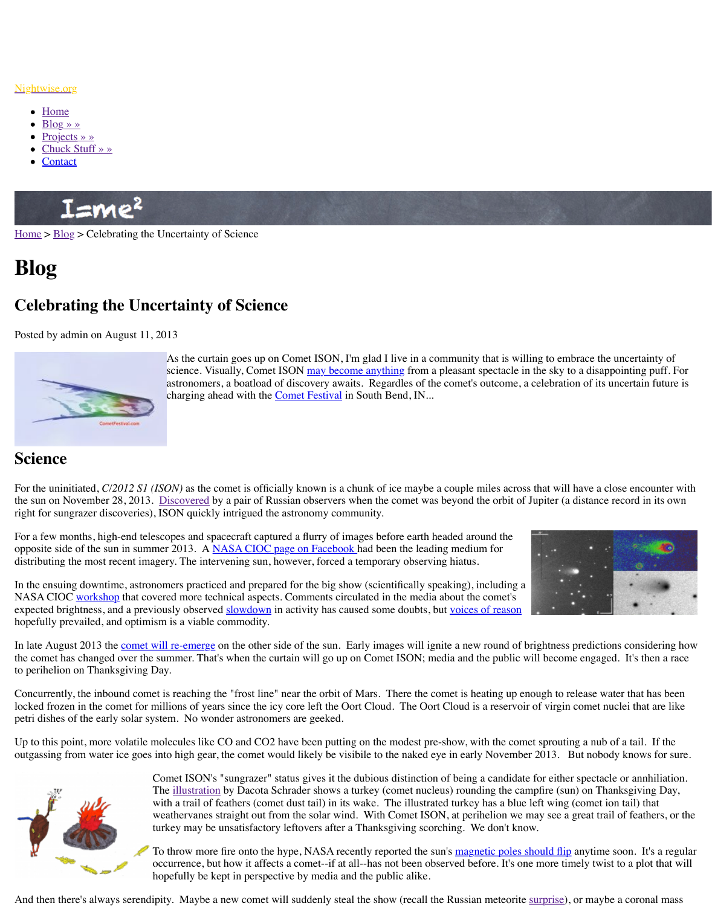

As the curtain goes up on Comet ISON, I'm glad I live in  $\alpha$ science. Visually, Comet ISON may become anything from astronomers, a boatload of discovery awaits. Regardles of charging ahead with the **Comet Festival** in South Bend, IN.

## **[Science](http://www.nightwise.org/)**

For th[e uninitia](http://www.nightwise.org/blog/)ted, *C*/2012 S1 (*ISON*) as the comet is officially known is a chunk of ice may the su[n on Novem](http://www.nightwise.org/projects/)ber 28, 2013. Discovered by a pair of Russian observers when the comet right [for sungrazer dis](http://www.nightwise.org/chuck-stuff/)coveries), ISON quickly intrigued the astronomy community.

For a few months, high-end telescopes and spacecraft captured a flurry of images before earth opposite side of the sun in summer 2013. A NASA CIOC page on Facebook had been the le distributing the most recent imagery. The intervening sun, however, forced a temporary observing higher higher

In the ensuing downtime, astronomers practiced and prepared for the big show (scientifically [NASA](http://www.nightwise.org/) [CIOC](http://www.nightwise.org/blog/) workshop that covered more technical aspects. Comments circulated in the me expected brightness, and a previously observed slowdown in activity has caused some doubt hopefully prevailed, and optimism is a viable commodity.

In late August 2013 the comet will re-emerge on the other side of the sun. Early images will the comet has changed over the summer. That's when the curtain will go up on Comet ISON to perihelion on Thanksgiving Day.

Concurrently, the inbound comet is reaching the "frost line" near the orbit of Mars. There the locked frozen in the comet for millions of years since the icy core left the Oort Cloud. The O petri dishes of the early solar system. No wonder astronomers ar[e geeked.](http://www.isoncampaign.org/Future) 

Up to this point, more volatile molecules like  $CO$  and  $CO2$  have been putting on the modest outgassing from water ice goes into high gear, the comet [would likely be v](http://cometfestival.com/)isibile to the nake



Comet ISON's "sungrazer" status gives it the dubious distinct The *illustration* by Dacota Schrader shows a turkey (comet nucleus) with a trail of feathers (comet dust tail) in its wake. The illus weathervanes straight out from the solar wind. With Comet I turkey may be unsatisfactory leftovers after a Thanksgiving s

To throw more fire onto the hype, NASA recently reported the sumo[ccurrence, b](http://hubblesite.org/hubble_discoveries/comet_ison/blogs/finding-ison)ut how it affects a comet--if at all--has not been hopefully be kept in perspective by media and the public alike.

And then there's always serendipity. Maybe [a new comet will suddenly steal](https://www.facebook.com/groups/482774205113931/) the show (recal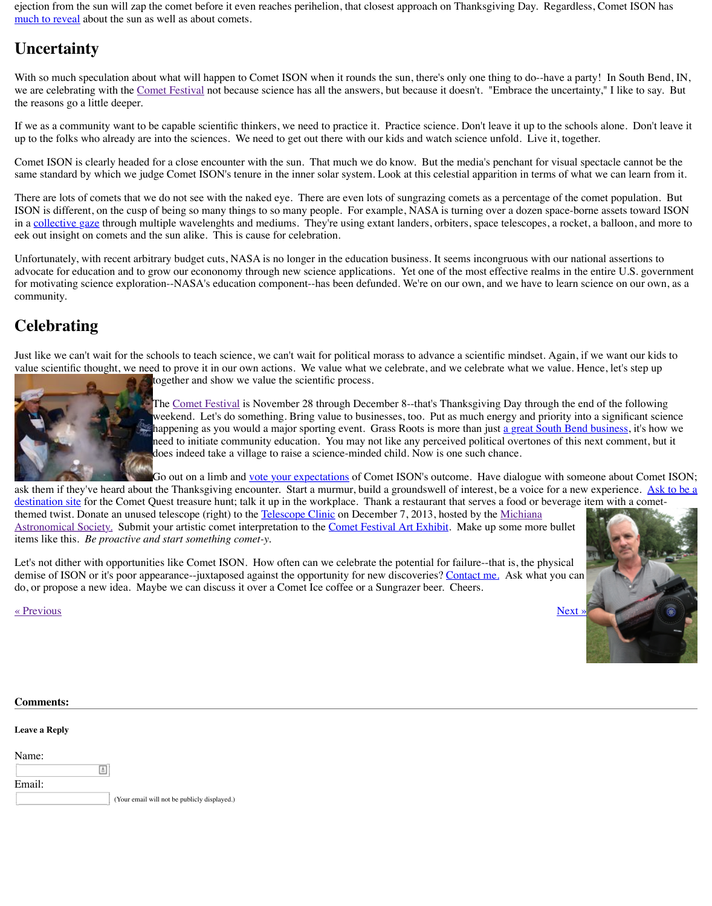Just like we can the schools to teach science, we can take  $\mathbf 1$ [value scientific](http://cometfestival.com/index.php/comets/learning-sungra/) thought, we need to prove it in our own actions. We value what we celebrate together and show we value the scientific process.



The Comet Festival is November 28 through December 8--th weekend. Let's do something. Bring value to businesses, too. happening as you would a major sporting event. Grass Roots need to initiate community education. You may not like any [does indeed](http://www.cometfestival.com/) take a village to raise a science-minded child. No

Go out on a limb and vote your expectations of Comet ISON

ask them if they've heard about the Thanksgiving encounter. Start a murmur, build a ground destination site for the Comet Quest treasure hunt; talk it up in the workplace. Thank a resta themed twist. Donate an unused telescope (right) to the Telescope Clinic on December 7, 20 Astronomical Society. Submit your artistic comet interpretation to the Comet Festival Art E items like this. *Be proactive and start something comet-y.*

Let's not dither with opportunities like Comet ISON. How often can we celebrate the potent de[mise of ISON or](http://solarsystem.nasa.gov/multimedia/display.cfm?Category=Planets&IM_ID=17505) it's poor appearance--juxtaposed against the opportunity for new discover do, or propose a new idea. Maybe we can discuss it over a Comet Ice coffee or a Sungrazer.

« Previous » Next » Next » Next » Next » Next » Next » Next » Next » Next » Next » Next » Next » Next » Next » Next » Next » Next » Next » Next » Next » Next » Next » Next » Next » Next » Next » Next » Next » Next » Next »

| <b>Comments:</b>     |                                              |
|----------------------|----------------------------------------------|
| <b>Leave a Reply</b> |                                              |
| Name:                |                                              |
| Email:               | $\triangleq$                                 |
|                      | (Your email will not be publicly displayed.) |